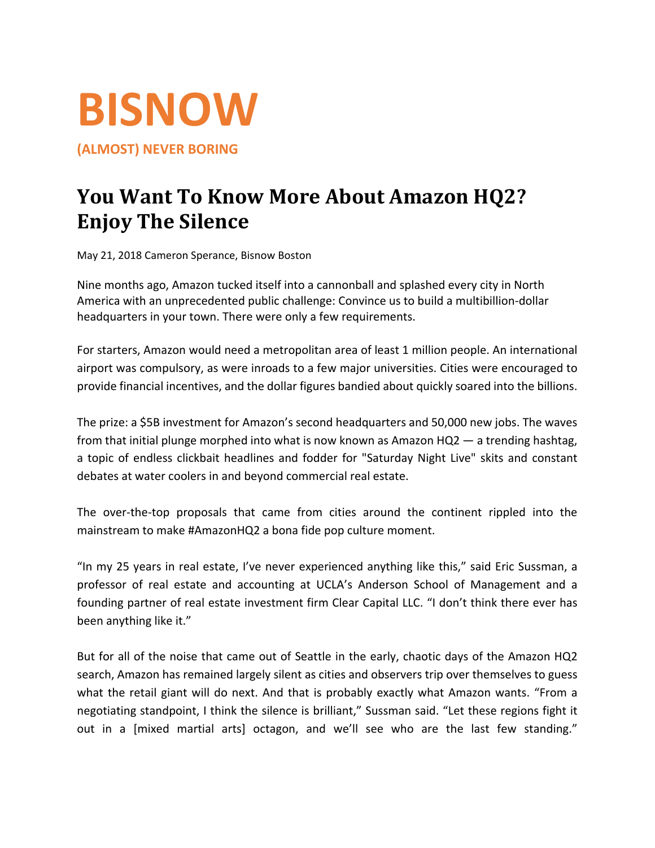

**(ALMOST) NEVER BORING** 

# **You Want To Know More About Amazon HQ2? Enjoy The Silence**

May 21, 2018 Cameron Sperance, Bisnow Boston

Nine months ago, Amazon tucked itself into a cannonball and splashed every city in North America with an unprecedented public challenge: Convince us to build a multibillion‐dollar headquarters in your town. There were only a few requirements.

For starters, Amazon would need a metropolitan area of least 1 million people. An international airport was compulsory, as were inroads to a few major universities. Cities were encouraged to provide financial incentives, and the dollar figures bandied about quickly soared into the billions.

The prize: a \$5B investment for Amazon's second headquarters and 50,000 new jobs. The waves from that initial plunge morphed into what is now known as Amazon HQ2 — a trending hashtag, a topic of endless clickbait headlines and fodder for "Saturday Night Live" skits and constant debates at water coolers in and beyond commercial real estate.

The over-the-top proposals that came from cities around the continent rippled into the mainstream to make #AmazonHQ2 a bona fide pop culture moment.

"In my 25 years in real estate, I've never experienced anything like this," said Eric Sussman, a professor of real estate and accounting at UCLA's Anderson School of Management and a founding partner of real estate investment firm Clear Capital LLC. "I don't think there ever has been anything like it."

But for all of the noise that came out of Seattle in the early, chaotic days of the Amazon HQ2 search, Amazon has remained largely silent as cities and observers trip over themselves to guess what the retail giant will do next. And that is probably exactly what Amazon wants. "From a negotiating standpoint, I think the silence is brilliant," Sussman said. "Let these regions fight it out in a [mixed martial arts] octagon, and we'll see who are the last few standing."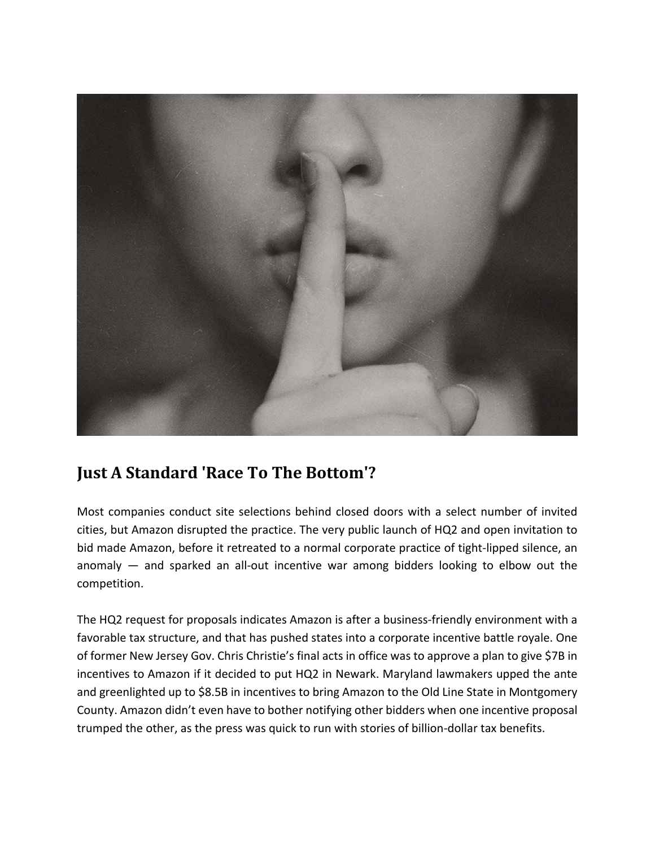

## **Just A Standard 'Race To The Bottom'?**

Most companies conduct site selections behind closed doors with a select number of invited cities, but Amazon disrupted the practice. The very public launch of HQ2 and open invitation to bid made Amazon, before it retreated to a normal corporate practice of tight‐lipped silence, an anomaly  $-$  and sparked an all-out incentive war among bidders looking to elbow out the competition.

The HQ2 request for proposals indicates Amazon is after a business-friendly environment with a favorable tax structure, and that has pushed states into a corporate incentive battle royale. One of former New Jersey Gov. Chris Christie's final acts in office was to approve a plan to give \$7B in incentives to Amazon if it decided to put HQ2 in Newark. Maryland lawmakers upped the ante and greenlighted up to \$8.5B in incentives to bring Amazon to the Old Line State in Montgomery County. Amazon didn't even have to bother notifying other bidders when one incentive proposal trumped the other, as the press was quick to run with stories of billion‐dollar tax benefits.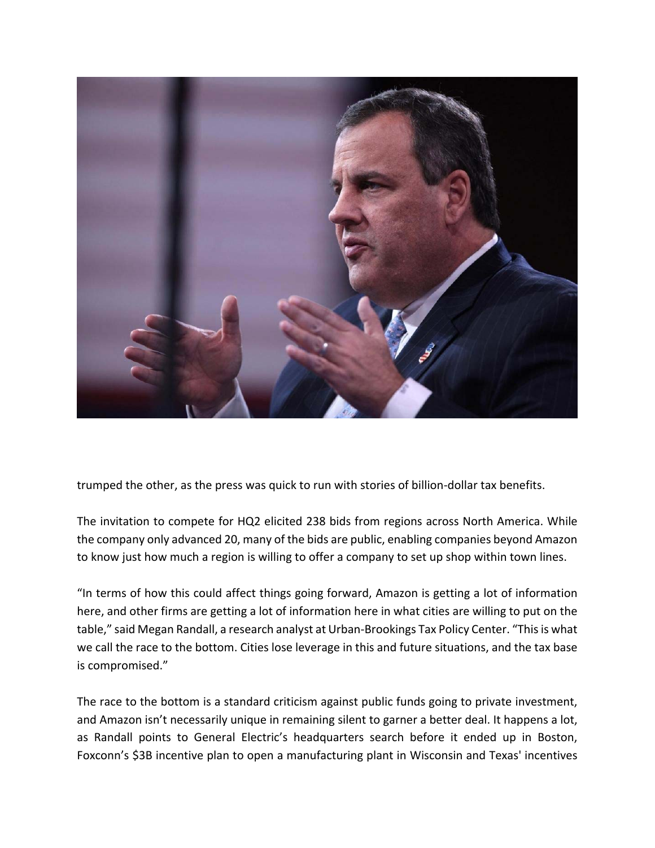

trumped the other, as the press was quick to run with stories of billion‐dollar tax benefits.

The invitation to compete for HQ2 elicited 238 bids from regions across North America. While the company only advanced 20, many of the bids are public, enabling companies beyond Amazon to know just how much a region is willing to offer a company to set up shop within town lines.

"In terms of how this could affect things going forward, Amazon is getting a lot of information here, and other firms are getting a lot of information here in what cities are willing to put on the table," said Megan Randall, a research analyst at Urban-Brookings Tax Policy Center. "This is what we call the race to the bottom. Cities lose leverage in this and future situations, and the tax base is compromised."

The race to the bottom is a standard criticism against public funds going to private investment, and Amazon isn't necessarily unique in remaining silent to garner a better deal. It happens a lot, as Randall points to General Electric's headquarters search before it ended up in Boston, Foxconn's \$3B incentive plan to open a manufacturing plant in Wisconsin and Texas' incentives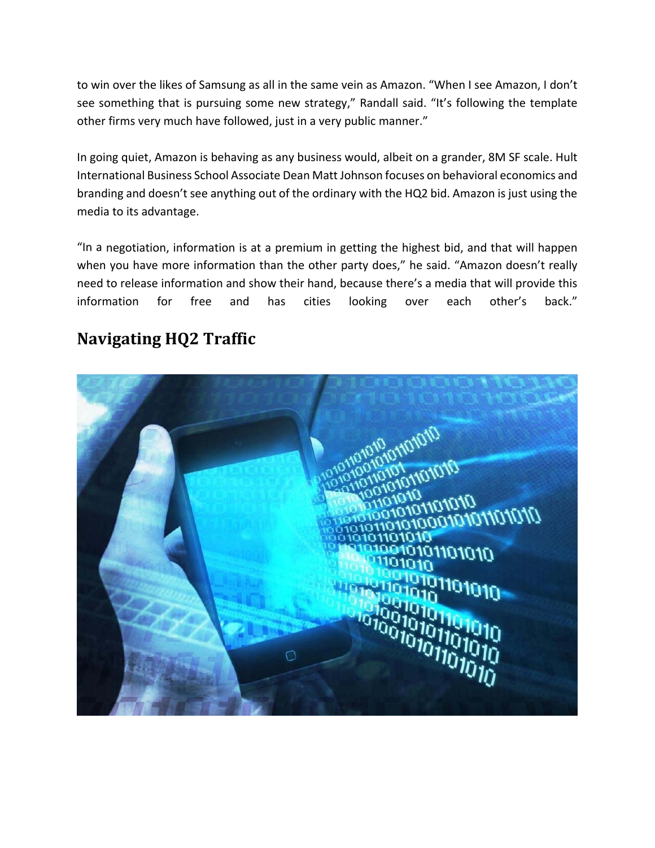to win over the likes of Samsung as all in the same vein as Amazon. "When I see Amazon, I don't see something that is pursuing some new strategy," Randall said. "It's following the template other firms very much have followed, just in a very public manner."

In going quiet, Amazon is behaving as any business would, albeit on a grander, 8M SF scale. Hult International Business School Associate Dean Matt Johnson focuses on behavioral economics and branding and doesn't see anything out of the ordinary with the HQ2 bid. Amazon is just using the media to its advantage.

"In a negotiation, information is at a premium in getting the highest bid, and that will happen when you have more information than the other party does," he said. "Amazon doesn't really need to release information and show their hand, because there's a media that will provide this information for free and has cities looking over each other's back."

## **Navigating HQ2 Traffic**

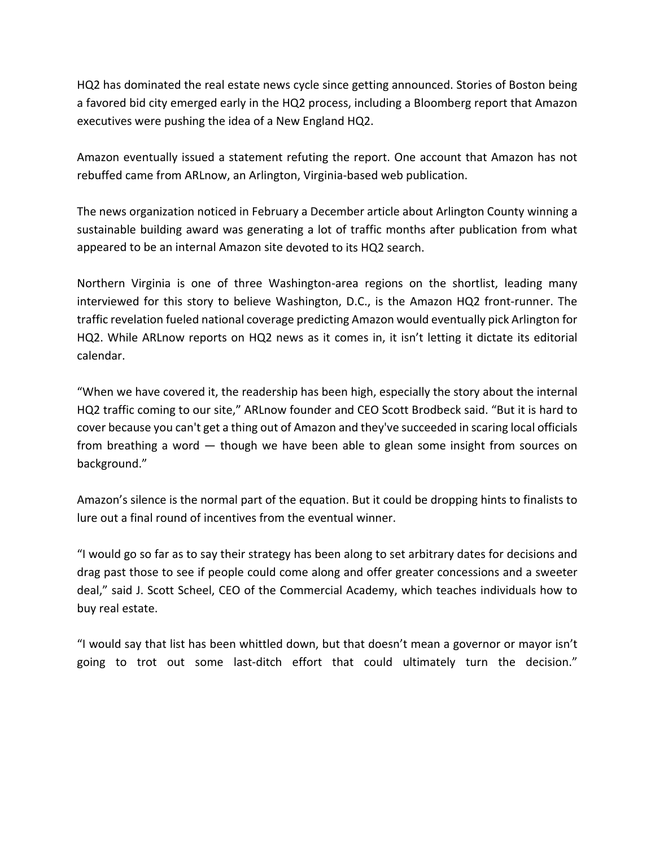HQ2 has dominated the real estate news cycle since getting announced. Stories of Boston being a favored bid city emerged early in the HQ2 process, including a Bloomberg report that Amazon executives were pushing the idea of a New England HQ2.

Amazon eventually issued a statement refuting the report. One account that Amazon has not rebuffed came from ARLnow, an Arlington, Virginia‐based web publication.

The news organization noticed in February a December article about Arlington County winning a sustainable building award was generating a lot of traffic months after publication from what appeared to be an internal Amazon site devoted to its HQ2 search.

Northern Virginia is one of three Washington‐area regions on the shortlist, leading many interviewed for this story to believe Washington, D.C., is the Amazon HQ2 front-runner. The traffic revelation fueled national coverage predicting Amazon would eventually pick Arlington for HQ2. While ARLnow reports on HQ2 news as it comes in, it isn't letting it dictate its editorial calendar.

"When we have covered it, the readership has been high, especially the story about the internal HQ2 traffic coming to our site," ARLnow founder and CEO Scott Brodbeck said. "But it is hard to cover because you can't get a thing out of Amazon and they've succeeded in scaring local officials from breathing a word — though we have been able to glean some insight from sources on background."

Amazon's silence is the normal part of the equation. But it could be dropping hints to finalists to lure out a final round of incentives from the eventual winner.

"I would go so far as to say their strategy has been along to set arbitrary dates for decisions and drag past those to see if people could come along and offer greater concessions and a sweeter deal," said J. Scott Scheel, CEO of the Commercial Academy, which teaches individuals how to buy real estate.

"I would say that list has been whittled down, but that doesn't mean a governor or mayor isn't going to trot out some last-ditch effort that could ultimately turn the decision."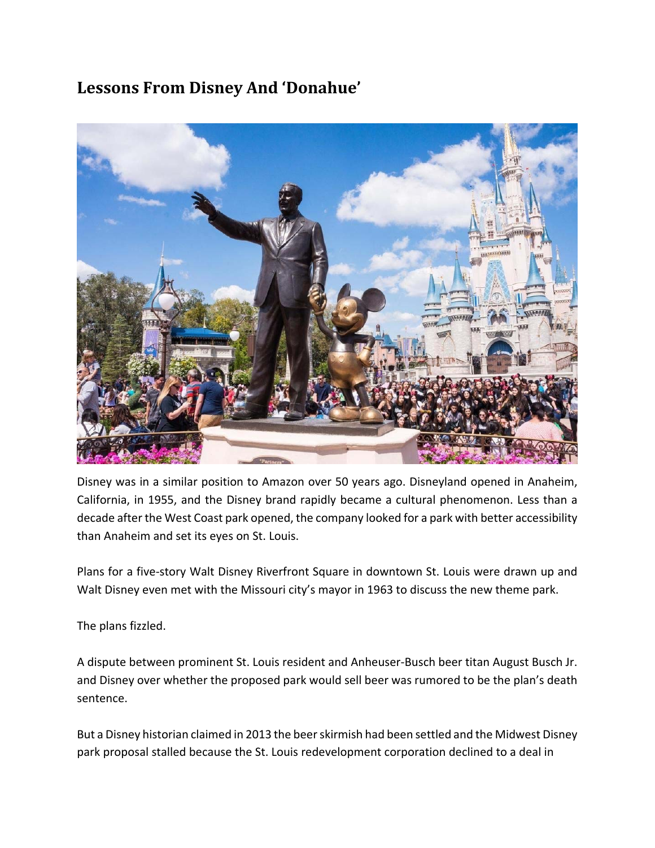#### **Lessons From Disney And 'Donahue'**



Disney was in a similar position to Amazon over 50 years ago. Disneyland opened in Anaheim, California, in 1955, and the Disney brand rapidly became a cultural phenomenon. Less than a decade after the West Coast park opened, the company looked for a park with better accessibility than Anaheim and set its eyes on St. Louis.

Plans for a five-story Walt Disney Riverfront Square in downtown St. Louis were drawn up and Walt Disney even met with the Missouri city's mayor in 1963 to discuss the new theme park.

The plans fizzled.

A dispute between prominent St. Louis resident and Anheuser‐Busch beer titan August Busch Jr. and Disney over whether the proposed park would sell beer was rumored to be the plan's death sentence.

But a Disney historian claimed in 2013 the beerskirmish had been settled and the Midwest Disney park proposal stalled because the St. Louis redevelopment corporation declined to a deal in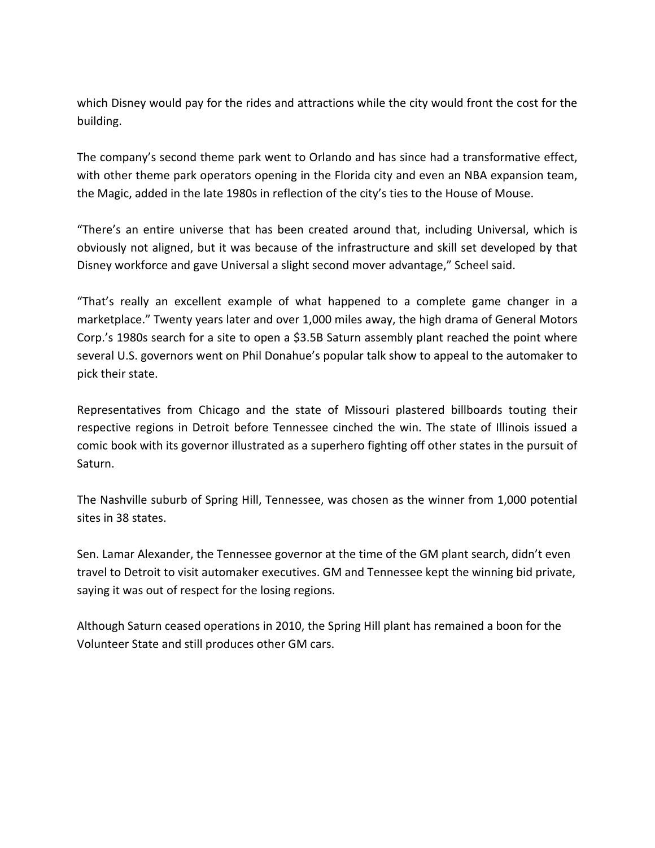which Disney would pay for the rides and attractions while the city would front the cost for the building.

The company's second theme park went to Orlando and has since had a transformative effect, with other theme park operators opening in the Florida city and even an NBA expansion team, the Magic, added in the late 1980s in reflection of the city's ties to the House of Mouse.

"There's an entire universe that has been created around that, including Universal, which is obviously not aligned, but it was because of the infrastructure and skill set developed by that Disney workforce and gave Universal a slight second mover advantage," Scheel said.

"That's really an excellent example of what happened to a complete game changer in a marketplace." Twenty years later and over 1,000 miles away, the high drama of General Motors Corp.'s 1980s search for a site to open a \$3.5B Saturn assembly plant reached the point where several U.S. governors went on Phil Donahue's popular talk show to appeal to the automaker to pick their state.

Representatives from Chicago and the state of Missouri plastered billboards touting their respective regions in Detroit before Tennessee cinched the win. The state of Illinois issued a comic book with its governor illustrated as a superhero fighting off other states in the pursuit of Saturn.

The Nashville suburb of Spring Hill, Tennessee, was chosen as the winner from 1,000 potential sites in 38 states.

Sen. Lamar Alexander, the Tennessee governor at the time of the GM plant search, didn't even travel to Detroit to visit automaker executives. GM and Tennessee kept the winning bid private, saying it was out of respect for the losing regions.

Although Saturn ceased operations in 2010, the Spring Hill plant has remained a boon for the Volunteer State and still produces other GM cars.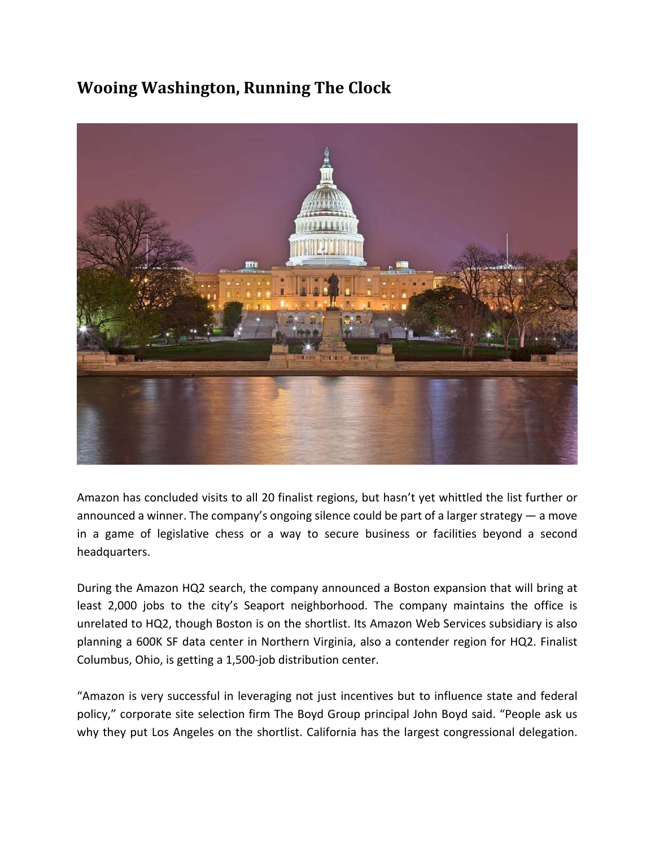#### **Wooing Washington, Running The Clock**



Amazon has concluded visits to all 20 finalist regions, but hasn't yet whittled the list further or announced a winner. The company's ongoing silence could be part of a larger strategy — a move in a game of legislative chess or a way to secure business or facilities beyond a second headquarters.

During the Amazon HQ2 search, the company announced a Boston expansion that will bring at least 2,000 jobs to the city's Seaport neighborhood. The company maintains the office is unrelated to HQ2, though Boston is on the shortlist. Its Amazon Web Services subsidiary is also planning a 600K SF data center in Northern Virginia, also a contender region for HQ2. Finalist Columbus, Ohio, is getting a 1,500‐job distribution center.

"Amazon is very successful in leveraging not just incentives but to influence state and federal policy," corporate site selection firm The Boyd Group principal John Boyd said. "People ask us why they put Los Angeles on the shortlist. California has the largest congressional delegation.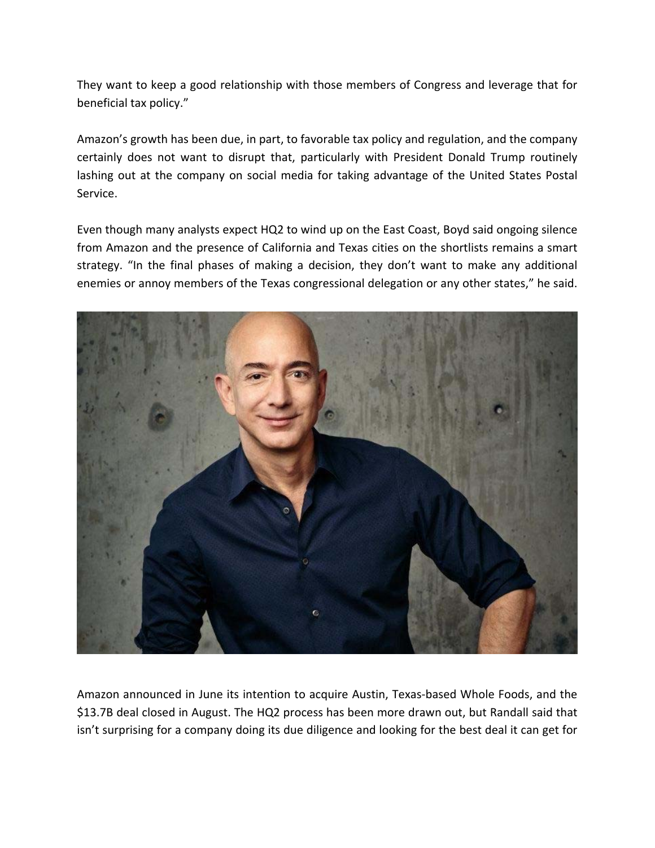They want to keep a good relationship with those members of Congress and leverage that for beneficial tax policy."

Amazon's growth has been due, in part, to favorable tax policy and regulation, and the company certainly does not want to disrupt that, particularly with President Donald Trump routinely lashing out at the company on social media for taking advantage of the United States Postal Service.

Even though many analysts expect HQ2 to wind up on the East Coast, Boyd said ongoing silence from Amazon and the presence of California and Texas cities on the shortlists remains a smart strategy. "In the final phases of making a decision, they don't want to make any additional enemies or annoy members of the Texas congressional delegation or any other states," he said.



Amazon announced in June its intention to acquire Austin, Texas‐based Whole Foods, and the \$13.7B deal closed in August. The HQ2 process has been more drawn out, but Randall said that isn't surprising for a company doing its due diligence and looking for the best deal it can get for